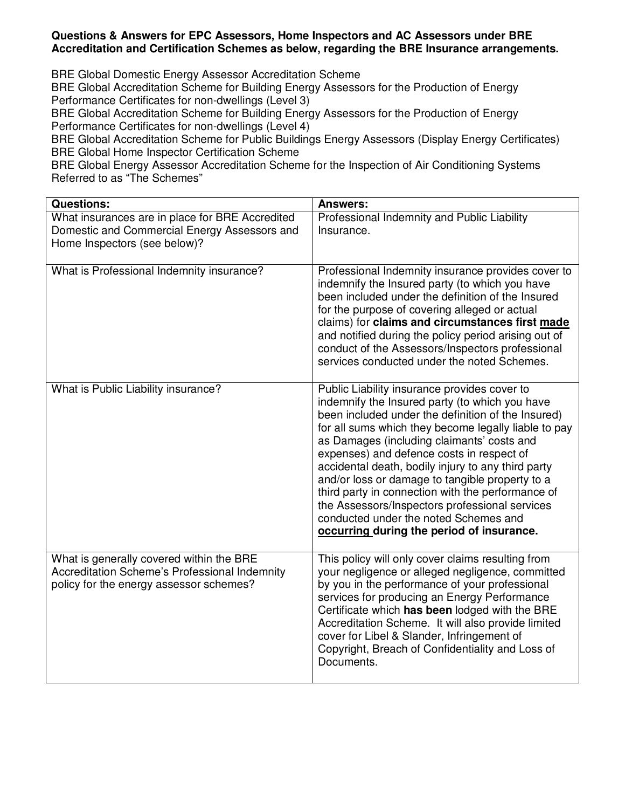## **Questions & Answers for EPC Assessors, Home Inspectors and AC Assessors under BRE Accreditation and Certification Schemes as below, regarding the BRE Insurance arrangements.**

BRE Global Domestic Energy Assessor Accreditation Scheme

BRE Global Accreditation Scheme for Building Energy Assessors for the Production of Energy Performance Certificates for non-dwellings (Level 3)

BRE Global Accreditation Scheme for Building Energy Assessors for the Production of Energy Performance Certificates for non-dwellings (Level 4)

BRE Global Accreditation Scheme for Public Buildings Energy Assessors (Display Energy Certificates) BRE Global Home Inspector Certification Scheme

BRE Global Energy Assessor Accreditation Scheme for the Inspection of Air Conditioning Systems Referred to as "The Schemes"

| <b>Questions:</b>                                                                                                                           | <b>Answers:</b>                                                                                                                                                                                                                                                                                                                                                                                                                                                                                                                                                                                               |
|---------------------------------------------------------------------------------------------------------------------------------------------|---------------------------------------------------------------------------------------------------------------------------------------------------------------------------------------------------------------------------------------------------------------------------------------------------------------------------------------------------------------------------------------------------------------------------------------------------------------------------------------------------------------------------------------------------------------------------------------------------------------|
| What insurances are in place for BRE Accredited<br>Domestic and Commercial Energy Assessors and<br>Home Inspectors (see below)?             | Professional Indemnity and Public Liability<br>Insurance.                                                                                                                                                                                                                                                                                                                                                                                                                                                                                                                                                     |
| What is Professional Indemnity insurance?                                                                                                   | Professional Indemnity insurance provides cover to<br>indemnify the Insured party (to which you have<br>been included under the definition of the Insured<br>for the purpose of covering alleged or actual<br>claims) for claims and circumstances first made<br>and notified during the policy period arising out of<br>conduct of the Assessors/Inspectors professional<br>services conducted under the noted Schemes.                                                                                                                                                                                      |
| What is Public Liability insurance?                                                                                                         | Public Liability insurance provides cover to<br>indemnify the Insured party (to which you have<br>been included under the definition of the Insured)<br>for all sums which they become legally liable to pay<br>as Damages (including claimants' costs and<br>expenses) and defence costs in respect of<br>accidental death, bodily injury to any third party<br>and/or loss or damage to tangible property to a<br>third party in connection with the performance of<br>the Assessors/Inspectors professional services<br>conducted under the noted Schemes and<br>occurring during the period of insurance. |
| What is generally covered within the BRE<br><b>Accreditation Scheme's Professional Indemnity</b><br>policy for the energy assessor schemes? | This policy will only cover claims resulting from<br>your negligence or alleged negligence, committed<br>by you in the performance of your professional<br>services for producing an Energy Performance<br>Certificate which has been lodged with the BRE<br>Accreditation Scheme. It will also provide limited<br>cover for Libel & Slander, Infringement of<br>Copyright, Breach of Confidentiality and Loss of<br>Documents.                                                                                                                                                                               |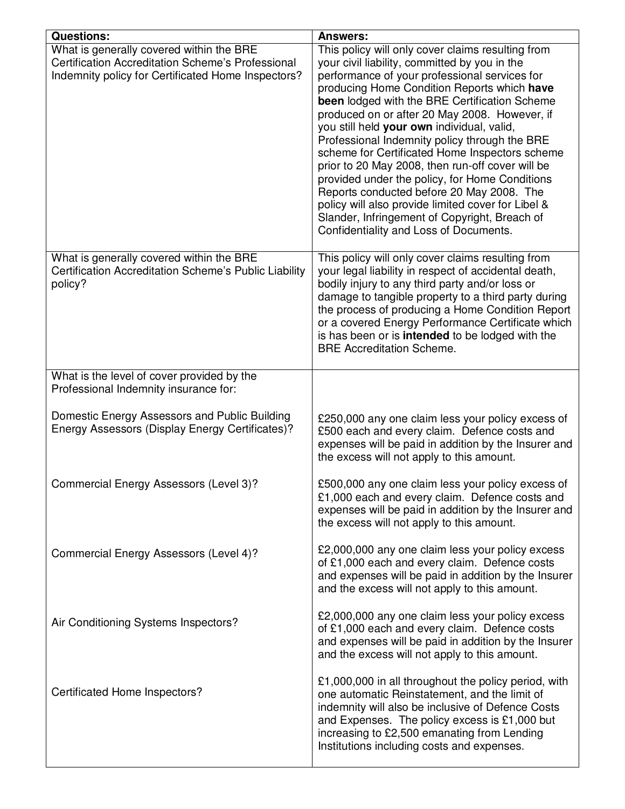| <b>Questions:</b>                                                                                                                                   | <b>Answers:</b>                                                                                                                                                                                                                                                                                                                                                                                                                                                                                                                                                                                                                                                                                                                                           |
|-----------------------------------------------------------------------------------------------------------------------------------------------------|-----------------------------------------------------------------------------------------------------------------------------------------------------------------------------------------------------------------------------------------------------------------------------------------------------------------------------------------------------------------------------------------------------------------------------------------------------------------------------------------------------------------------------------------------------------------------------------------------------------------------------------------------------------------------------------------------------------------------------------------------------------|
| What is generally covered within the BRE<br>Certification Accreditation Scheme's Professional<br>Indemnity policy for Certificated Home Inspectors? | This policy will only cover claims resulting from<br>your civil liability, committed by you in the<br>performance of your professional services for<br>producing Home Condition Reports which have<br>been lodged with the BRE Certification Scheme<br>produced on or after 20 May 2008. However, if<br>you still held your own individual, valid,<br>Professional Indemnity policy through the BRE<br>scheme for Certificated Home Inspectors scheme<br>prior to 20 May 2008, then run-off cover will be<br>provided under the policy, for Home Conditions<br>Reports conducted before 20 May 2008. The<br>policy will also provide limited cover for Libel &<br>Slander, Infringement of Copyright, Breach of<br>Confidentiality and Loss of Documents. |
| What is generally covered within the BRE<br>Certification Accreditation Scheme's Public Liability<br>policy?                                        | This policy will only cover claims resulting from<br>your legal liability in respect of accidental death,<br>bodily injury to any third party and/or loss or<br>damage to tangible property to a third party during<br>the process of producing a Home Condition Report<br>or a covered Energy Performance Certificate which<br>is has been or is <b>intended</b> to be lodged with the<br><b>BRE Accreditation Scheme.</b>                                                                                                                                                                                                                                                                                                                               |
| What is the level of cover provided by the<br>Professional Indemnity insurance for:                                                                 |                                                                                                                                                                                                                                                                                                                                                                                                                                                                                                                                                                                                                                                                                                                                                           |
| Domestic Energy Assessors and Public Building<br>Energy Assessors (Display Energy Certificates)?                                                    | £250,000 any one claim less your policy excess of<br>£500 each and every claim. Defence costs and<br>expenses will be paid in addition by the Insurer and<br>the excess will not apply to this amount.                                                                                                                                                                                                                                                                                                                                                                                                                                                                                                                                                    |
| Commercial Energy Assessors (Level 3)?                                                                                                              | £500,000 any one claim less your policy excess of<br>£1,000 each and every claim. Defence costs and<br>expenses will be paid in addition by the Insurer and<br>the excess will not apply to this amount.                                                                                                                                                                                                                                                                                                                                                                                                                                                                                                                                                  |
| Commercial Energy Assessors (Level 4)?                                                                                                              | £2,000,000 any one claim less your policy excess<br>of £1,000 each and every claim. Defence costs<br>and expenses will be paid in addition by the Insurer<br>and the excess will not apply to this amount.                                                                                                                                                                                                                                                                                                                                                                                                                                                                                                                                                |
| Air Conditioning Systems Inspectors?                                                                                                                | £2,000,000 any one claim less your policy excess<br>of £1,000 each and every claim. Defence costs<br>and expenses will be paid in addition by the Insurer<br>and the excess will not apply to this amount.                                                                                                                                                                                                                                                                                                                                                                                                                                                                                                                                                |
| Certificated Home Inspectors?                                                                                                                       | £1,000,000 in all throughout the policy period, with<br>one automatic Reinstatement, and the limit of<br>indemnity will also be inclusive of Defence Costs<br>and Expenses. The policy excess is £1,000 but<br>increasing to £2,500 emanating from Lending<br>Institutions including costs and expenses.                                                                                                                                                                                                                                                                                                                                                                                                                                                  |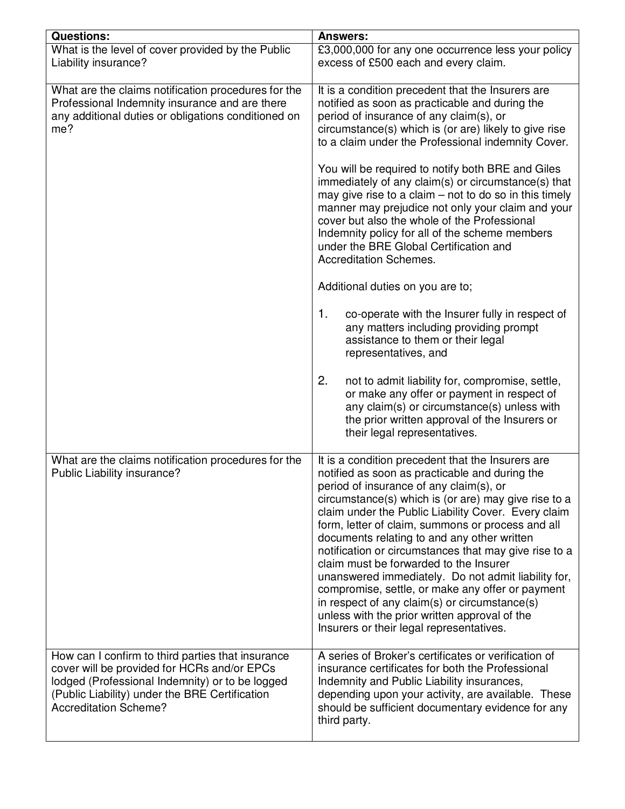| Questions:                                                                                                                                                                                                                            | <b>Answers:</b>                                                                                                                                                                                                                                                                                                                                                                                                                                                                                                                                                                                                                                                                                                               |
|---------------------------------------------------------------------------------------------------------------------------------------------------------------------------------------------------------------------------------------|-------------------------------------------------------------------------------------------------------------------------------------------------------------------------------------------------------------------------------------------------------------------------------------------------------------------------------------------------------------------------------------------------------------------------------------------------------------------------------------------------------------------------------------------------------------------------------------------------------------------------------------------------------------------------------------------------------------------------------|
| What is the level of cover provided by the Public<br>Liability insurance?                                                                                                                                                             | £3,000,000 for any one occurrence less your policy<br>excess of £500 each and every claim.                                                                                                                                                                                                                                                                                                                                                                                                                                                                                                                                                                                                                                    |
| What are the claims notification procedures for the<br>Professional Indemnity insurance and are there<br>any additional duties or obligations conditioned on<br>me?                                                                   | It is a condition precedent that the Insurers are<br>notified as soon as practicable and during the<br>period of insurance of any claim(s), or<br>circumstance(s) which is (or are) likely to give rise<br>to a claim under the Professional indemnity Cover.                                                                                                                                                                                                                                                                                                                                                                                                                                                                 |
|                                                                                                                                                                                                                                       | You will be required to notify both BRE and Giles<br>immediately of any claim(s) or circumstance(s) that<br>may give rise to a claim $-$ not to do so in this timely<br>manner may prejudice not only your claim and your<br>cover but also the whole of the Professional<br>Indemnity policy for all of the scheme members<br>under the BRE Global Certification and<br><b>Accreditation Schemes.</b>                                                                                                                                                                                                                                                                                                                        |
|                                                                                                                                                                                                                                       | Additional duties on you are to;                                                                                                                                                                                                                                                                                                                                                                                                                                                                                                                                                                                                                                                                                              |
|                                                                                                                                                                                                                                       | 1.<br>co-operate with the Insurer fully in respect of<br>any matters including providing prompt<br>assistance to them or their legal<br>representatives, and                                                                                                                                                                                                                                                                                                                                                                                                                                                                                                                                                                  |
|                                                                                                                                                                                                                                       | 2.<br>not to admit liability for, compromise, settle,<br>or make any offer or payment in respect of<br>any claim(s) or circumstance(s) unless with<br>the prior written approval of the Insurers or<br>their legal representatives.                                                                                                                                                                                                                                                                                                                                                                                                                                                                                           |
| What are the claims notification procedures for the<br>Public Liability insurance?                                                                                                                                                    | It is a condition precedent that the Insurers are<br>notified as soon as practicable and during the<br>period of insurance of any claim(s), or<br>circumstance(s) which is (or are) may give rise to a<br>claim under the Public Liability Cover. Every claim<br>form, letter of claim, summons or process and all<br>documents relating to and any other written<br>notification or circumstances that may give rise to a<br>claim must be forwarded to the Insurer<br>unanswered immediately. Do not admit liability for,<br>compromise, settle, or make any offer or payment<br>in respect of any claim(s) or circumstance(s)<br>unless with the prior written approval of the<br>Insurers or their legal representatives. |
| How can I confirm to third parties that insurance<br>cover will be provided for HCRs and/or EPCs<br>lodged (Professional Indemnity) or to be logged<br>(Public Liability) under the BRE Certification<br><b>Accreditation Scheme?</b> | A series of Broker's certificates or verification of<br>insurance certificates for both the Professional<br>Indemnity and Public Liability insurances,<br>depending upon your activity, are available. These<br>should be sufficient documentary evidence for any<br>third party.                                                                                                                                                                                                                                                                                                                                                                                                                                             |